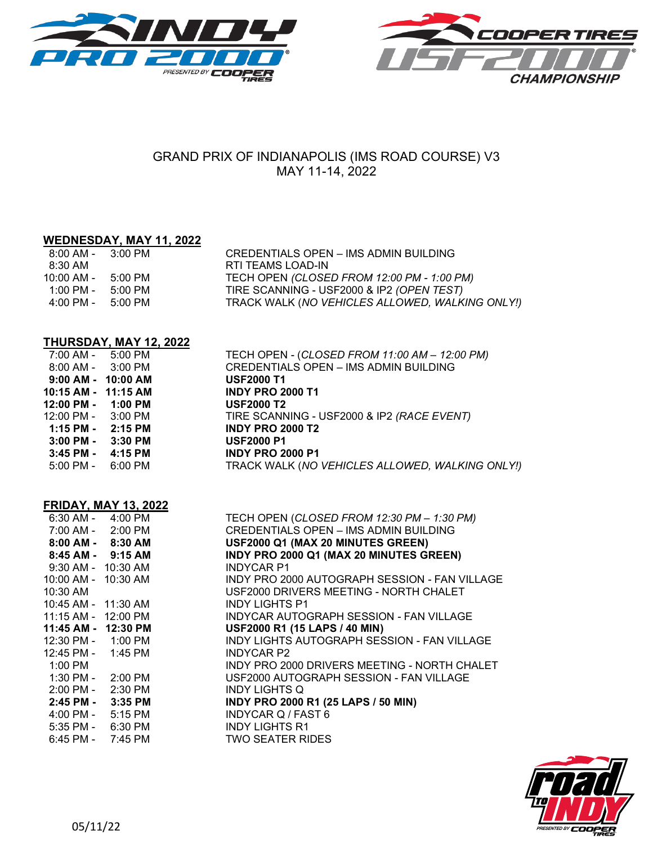



# GRAND PRIX OF INDIANAPOLIS (IMS ROAD COURSE) V3 MAY 11-14, 2022

## **WEDNESDAY, MAY 11, 2022**

| $8:00$ AM - $3:00$ PM               |         | CREDENTIALS OPEN - IMS ADMIN BUILDING           |
|-------------------------------------|---------|-------------------------------------------------|
| 8:30 AM                             |         | RTI TEAMS LOAD-IN                               |
| 10:00 AM -                          | 5:00 PM | TECH OPEN (CLOSED FROM 12:00 PM - 1:00 PM)      |
| 1:00 PM -                           | 5:00 PM | TIRE SCANNING - USF2000 & IP2 (OPEN TEST)       |
| $4:00 \text{ PM} - 5:00 \text{ PM}$ |         | TRACK WALK (NO VEHICLES ALLOWED, WALKING ONLY!) |

### **THURSDAY, MAY 12, 2022**

| 7:00 AM - 5:00 PM                   | <b>TECH OPEN - (CLC</b> |
|-------------------------------------|-------------------------|
| 8:00 AM - 3:00 PM                   | <b>CREDENTIALS OP</b>   |
| $9:00$ AM - $10:00$ AM              | <b>USF2000 T1</b>       |
| 10:15 AM - 11:15 AM                 | <b>INDY PRO 2000 T1</b> |
| 12:00 PM - 1:00 PM                  | <b>USF2000 T2</b>       |
| 12:00 PM - 3:00 PM                  | TIRE SCANNING -         |
| 1:15 PM - 2:15 PM                   | <b>INDY PRO 2000 T2</b> |
| $3:00$ PM - $3:30$ PM               | <b>USF2000 P1</b>       |
| $3:45$ PM - $4:15$ PM               | <b>INDY PRO 2000 P1</b> |
| $5:00 \text{ PM} - 6:00 \text{ PM}$ | TRACK WALK (NO          |

| TECH OPEN - (CLOSED FROM 11:00 AM - 12:00 PM)                                                                                                                                                                                                 |
|-----------------------------------------------------------------------------------------------------------------------------------------------------------------------------------------------------------------------------------------------|
| <b>CREDENTIALS OPEN - IMS ADMIN BUILDING</b>                                                                                                                                                                                                  |
| <b>USF2000 T1</b>                                                                                                                                                                                                                             |
| <b>INDY PRO 2000 T1</b>                                                                                                                                                                                                                       |
| <b>USF2000 T2</b>                                                                                                                                                                                                                             |
| TIRE SCANNING - USF2000 & IP2 (RACE EVENT)                                                                                                                                                                                                    |
| <b>INDY PRO 2000 T2</b>                                                                                                                                                                                                                       |
| <b>USF2000 P1</b>                                                                                                                                                                                                                             |
| <b>INDY PRO 2000 P1</b>                                                                                                                                                                                                                       |
| TRACK WALK (NO VEHICLES ALLOWED, WALKING ONLY!)                                                                                                                                                                                               |
| 7:00 AM - 5:00 PM<br>8:00 AM - 3:00 PM<br>9:00 AM - 10:00 AM<br>10:15 AM - 11:15 AM<br>12:00 PM - 1:00 PM<br>12:00 PM - 3:00 PM<br>$1:15$ PM - $2:15$ PM<br>$3:00$ PM - $3:30$ PM<br>3:45 PM - 4:15 PM<br>$5:00 \text{ PM} - 6:00 \text{ PM}$ |

|                        | <b>FRIDAY, MAY 13, 2022</b> |  |
|------------------------|-----------------------------|--|
| $6:30$ AM - $4:00$ PM  |                             |  |
| $7:00$ AM - $2:00$ PM  |                             |  |
| $8:00$ AM - $8:30$ AM  |                             |  |
| $8:45$ AM - $9:15$ AM  |                             |  |
| $9:30$ AM - $10:30$ AM |                             |  |

|                                     | 6:30 AM - 4:00 PM                   | TECH OPEN (CLOSED FROM 12:30 PM - 1:30 PM)    |
|-------------------------------------|-------------------------------------|-----------------------------------------------|
| 7:00 AM - 2:00 PM                   |                                     | <b>CREDENTIALS OPEN - IMS ADMIN BUILDING</b>  |
| 8:00 AM - 8:30 AM                   |                                     | USF2000 Q1 (MAX 20 MINUTES GREEN)             |
| 8:45 AM - 9:15 AM                   |                                     | INDY PRO 2000 Q1 (MAX 20 MINUTES GREEN)       |
| 9:30 AM - 10:30 AM                  |                                     | <b>INDYCAR P1</b>                             |
| 10:00 AM - 10:30 AM                 |                                     | INDY PRO 2000 AUTOGRAPH SESSION - FAN VILLAGE |
| 10:30 AM                            |                                     | USF2000 DRIVERS MEETING - NORTH CHALET        |
| 10:45 AM - 11:30 AM                 |                                     | <b>INDY LIGHTS P1</b>                         |
| 11:15 AM - 12:00 PM                 |                                     | INDYCAR AUTOGRAPH SESSION - FAN VILLAGE       |
| 11:45 AM - 12:30 PM                 |                                     | USF2000 R1 (15 LAPS / 40 MIN)                 |
|                                     | 12:30 PM -  1:00 PM _               | INDY LIGHTS AUTOGRAPH SESSION - FAN VILLAGE   |
| 12:45 PM - 1:45 PM                  |                                     | <b>INDYCAR P2</b>                             |
| 1:00 PM                             |                                     | INDY PRO 2000 DRIVERS MEETING - NORTH CHALET  |
| $1:30$ PM - $2:00$ PM               |                                     | USF2000 AUTOGRAPH SESSION - FAN VILLAGE       |
| $2:00 \text{ PM} - 2:30 \text{ PM}$ |                                     | <b>INDY LIGHTS Q</b>                          |
|                                     | 2:45 PM - 3:35 PM                   | INDY PRO 2000 R1 (25 LAPS / 50 MIN)           |
|                                     | $4:00 \text{ PM} - 5:15 \text{ PM}$ | INDYCAR Q / FAST 6                            |
|                                     | 5:35 PM - 6:30 PM                   | <b>INDY LIGHTS R1</b>                         |
| 6:45 PM - 7:45 PM                   |                                     | <b>TWO SEATER RIDES</b>                       |
|                                     |                                     |                                               |